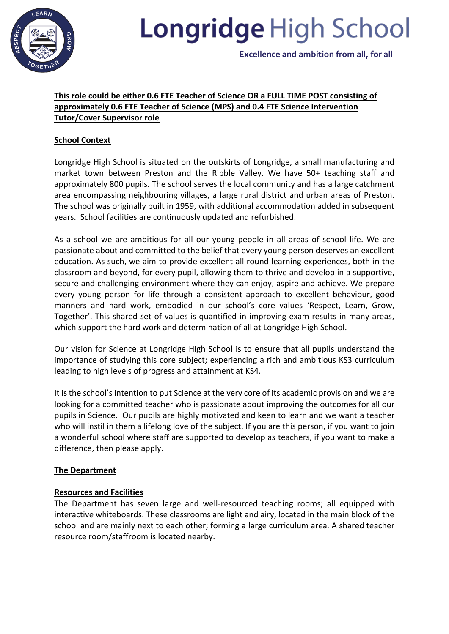

# **Longridge High School**

 **Excellence and ambition from all, for all**

# **This role could be either 0.6 FTE Teacher of Science OR a FULL TIME POST consisting of approximately 0.6 FTE Teacher of Science (MPS) and 0.4 FTE Science Intervention Tutor/Cover Supervisor role**

# **School Context**

Longridge High School is situated on the outskirts of Longridge, a small manufacturing and market town between Preston and the Ribble Valley. We have 50+ teaching staff and approximately 800 pupils. The school serves the local community and has a large catchment area encompassing neighbouring villages, a large rural district and urban areas of Preston. The school was originally built in 1959, with additional accommodation added in subsequent years. School facilities are continuously updated and refurbished.

As a school we are ambitious for all our young people in all areas of school life. We are passionate about and committed to the belief that every young person deserves an excellent education. As such, we aim to provide excellent all round learning experiences, both in the classroom and beyond, for every pupil, allowing them to thrive and develop in a supportive, secure and challenging environment where they can enjoy, aspire and achieve. We prepare every young person for life through a consistent approach to excellent behaviour, good manners and hard work, embodied in our school's core values 'Respect, Learn, Grow, Together'. This shared set of values is quantified in improving exam results in many areas, which support the hard work and determination of all at Longridge High School.

Our vision for Science at Longridge High School is to ensure that all pupils understand the importance of studying this core subject; experiencing a rich and ambitious KS3 curriculum leading to high levels of progress and attainment at KS4.

It is the school's intention to put Science at the very core of its academic provision and we are looking for a committed teacher who is passionate about improving the outcomes for all our pupils in Science. Our pupils are highly motivated and keen to learn and we want a teacher who will instil in them a lifelong love of the subject. If you are this person, if you want to join a wonderful school where staff are supported to develop as teachers, if you want to make a difference, then please apply.

## **The Department**

## **Resources and Facilities**

The Department has seven large and well-resourced teaching rooms; all equipped with interactive whiteboards. These classrooms are light and airy, located in the main block of the school and are mainly next to each other; forming a large curriculum area. A shared teacher resource room/staffroom is located nearby.